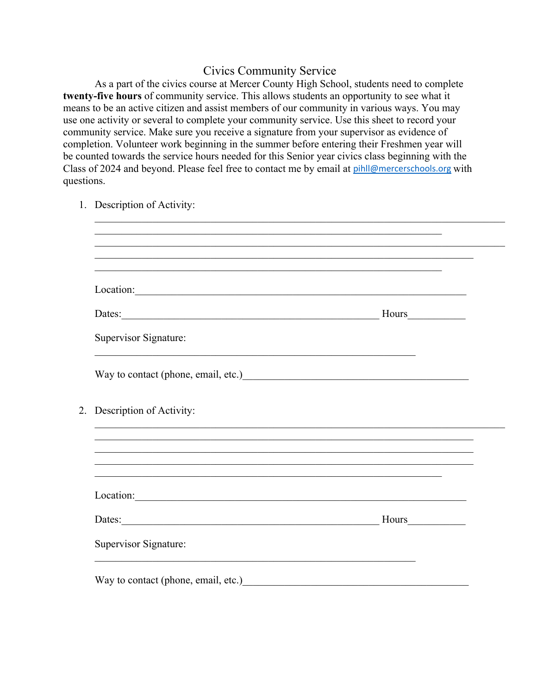## Civics Community Service

As a part of the civics course at Mercer County High School, students need to complete **twenty-five hours** of community service. This allows students an opportunity to see what it means to be an active citizen and assist members of our community in various ways. You may use one activity or several to complete your community service. Use this sheet to record your community service. Make sure you receive a signature from your supervisor as evidence of completion. Volunteer work beginning in the summer before entering their Freshmen year will be counted towards the service hours needed for this Senior year civics class beginning with the Class of 2024 and beyond. Please feel free to contact me by email at pihll@mercerschools.org with questions.

|  | 1. Description of Activity:                                                                                                                     |                                                                                                                                                                                                                                              |  |
|--|-------------------------------------------------------------------------------------------------------------------------------------------------|----------------------------------------------------------------------------------------------------------------------------------------------------------------------------------------------------------------------------------------------|--|
|  |                                                                                                                                                 | <u> 1989 - Johann Harry Harry Harry Harry Harry Harry Harry Harry Harry Harry Harry Harry Harry Harry Harry Harry</u><br><u> 1999 - 1999 - 1999 - 1999 - 1999 - 1999 - 1999 - 1999 - 1999 - 1999 - 1999 - 1999 - 1999 - 1999 - 1999 - 19</u> |  |
|  | Location:                                                                                                                                       | ,我们也不能在这里的人,我们也不能在这里的人,我们也不能在这里的人,我们也不能在这里的人,我们也不能在这里的人,我们也不能在这里的人,我们也不能在这里的人,我们                                                                                                                                                             |  |
|  | Dates: Hours                                                                                                                                    |                                                                                                                                                                                                                                              |  |
|  | Supervisor Signature:<br><u> 1989 - Johann John Stoff, deutscher Stoffen und der Stoffen und der Stoffen und der Stoffen und der Stoffen un</u> |                                                                                                                                                                                                                                              |  |
|  | Way to contact (phone, email, etc.)<br><u>Example 2006</u>                                                                                      |                                                                                                                                                                                                                                              |  |
|  | 2. Description of Activity:                                                                                                                     | ,我们也不能在这里的人,我们也不能在这里的人,我们也不能在这里的人,我们也不能在这里的人,我们也不能在这里的人,我们也不能在这里的人,我们也不能在这里的人,我们也                                                                                                                                                            |  |
|  |                                                                                                                                                 | ,我们也不能在这里的人,我们也不能在这里的人,我们也不能在这里的人,我们也不能在这里的人,我们也不能在这里的人,我们也不能在这里的人,我们也不能在这里的人,我们也<br>,我们也不能在这里的人,我们也不能在这里的人,我们也不能在这里的人,我们也不能在这里的人,我们也不能在这里的人,我们也不能在这里的人,我们也不能在这里的人,我们也                                                                       |  |
|  | Location:                                                                                                                                       |                                                                                                                                                                                                                                              |  |
|  | Dates: Hours                                                                                                                                    |                                                                                                                                                                                                                                              |  |
|  | Supervisor Signature:                                                                                                                           |                                                                                                                                                                                                                                              |  |
|  | <u> 1989 - Johann Stein, marwolaethau (b. 1989)</u><br>Way to contact (phone, email, etc.)                                                      |                                                                                                                                                                                                                                              |  |